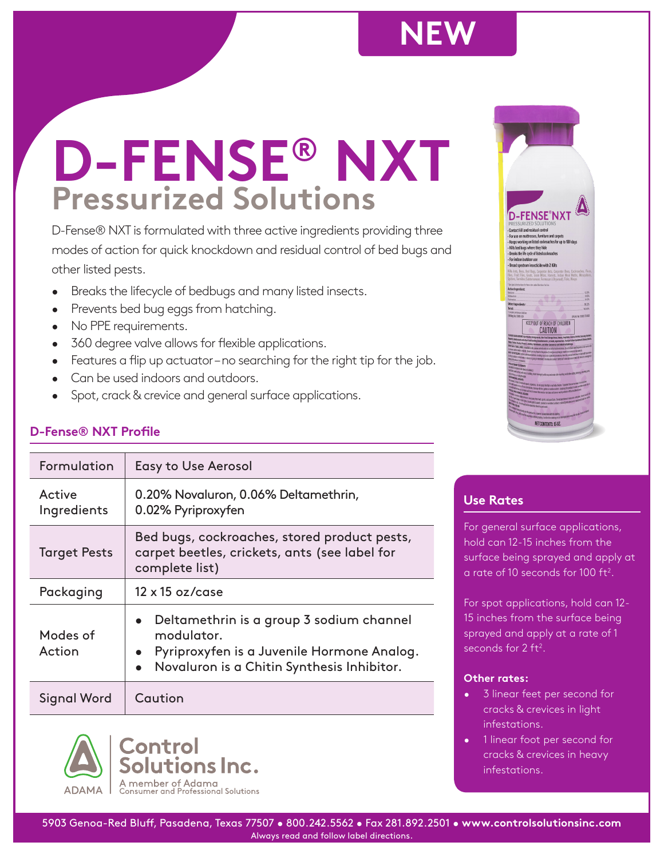# **NEW**

# **Pressurized Solutions D-FENSE® NXT**

D-Fense® NXT is formulated with three active ingredients providing three modes of action for quick knockdown and residual control of bed bugs and other listed pests.

- Breaks the lifecycle of bedbugs and many listed insects.
- Prevents bed bug eggs from hatching.
- No PPE requirements.
- 360 degree valve allows for flexible applications.
- Features a flip up actuator-no searching for the right tip for the job.
- Can be used indoors and outdoors.
- Spot, crack & crevice and general surface applications.

# **D-Fense® NXT Profile**

| Formulation           | <b>Easy to Use Aerosol</b>                                                                                                                         |
|-----------------------|----------------------------------------------------------------------------------------------------------------------------------------------------|
| Active<br>Ingredients | 0.20% Novaluron, 0.06% Deltamethrin,<br>0.02% Pyriproxyfen                                                                                         |
| <b>Target Pests</b>   | Bed bugs, cockroaches, stored product pests,<br>carpet beetles, crickets, ants (see label for<br>complete list)                                    |
| Packaging             | $12 \times 15$ oz/case                                                                                                                             |
| Modes of<br>Action    | Deltamethrin is a group 3 sodium channel<br>modulator.<br>Pyriproxyfen is a Juvenile Hormone Analog.<br>Novaluron is a Chitin Synthesis Inhibitor. |
| Signal Word           | Caution                                                                                                                                            |





# **Use Rates**

For general surface applications, hold can 12-15 inches from the surface being sprayed and apply at a rate of 10 seconds for 100  $\rm ft^2$ .

For spot applications, hold can 12- 15 inches from the surface being sprayed and apply at a rate of 1 seconds for  $2$  ft<sup>2</sup>.

### **Other rates:**

- 3 linear feet per second for cracks & crevices in light infestations.
- 1 linear foot per second for cracks & crevices in heavy infestations.